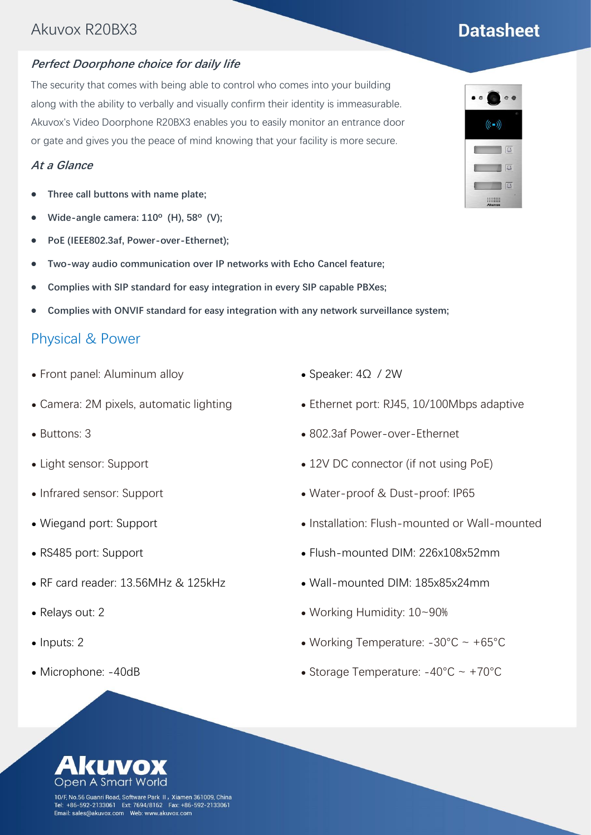## Akuvox R20BX3

#### **Perfect Doorphone choice for daily life**

The security that comes with being able to control who comes into your building along with the ability to verbally and visually confirm their identity is immeasurable. Akuvox's Video Doorphone R20BX3 enables you to easily monitor an entrance door or gate and gives you the peace of mind knowing that your facility is more secure.

#### **At a Glance**

- ⚫ **Three call buttons with name plate;**
- ⚫ **Wide-angle camera: 110º (H), 58º (V);**
- ⚫ **PoE (IEEE802.3af, Power-over-Ethernet);**
- ⚫ **Two-way audio communication over IP networks with Echo Cancel feature;**
- ⚫ **Complies with SIP standard for easy integration in every SIP capable PBXes;**
- ⚫ **Complies with ONVIF standard for easy integration with any network surveillance system;**

## Physical & Power

- ⚫ Front panel: Aluminum alloy
- ⚫ Camera: 2M pixels, automatic lighting
- ⚫ Buttons: 3
- ⚫ Light sensor: Support
- ⚫ Infrared sensor: Support
- ⚫ Wiegand port: Support
- ⚫ RS485 port: Support
- ⚫ RF card reader: 13.56MHz & 125kHz
- ⚫ Relays out: 2

Open

- Inputs: 2
- ⚫ Microphone: -40dB
- ⚫ Speaker: 4Ω / 2W
- Ethernet port: RJ45, 10/100Mbps adaptive
- ⚫ 802.3af Power-over-Ethernet
- 12V DC connector (if not using PoE)
- ⚫ Water-proof & Dust-proof: IP65
- ⚫ Installation: Flush-mounted or Wall-mounted
- ⚫ Flush-mounted DIM: 226x108x52mm
- ⚫ Wall-mounted DIM: 185x85x24mm
- ⚫ Working Humidity: 10~90%
- Working Temperature:  $-30^{\circ}$ C ~  $+65^{\circ}$ C
- Storage Temperature:  $-40^{\circ}$ C ~  $+70^{\circ}$ C

10/F, No.56 Guanri Road, Software Park II,Xiamen 361009, China Tel: +86-592-2133061 Ext: 7694/8162 Fax: +86-592-2133061 

 $(((-))$  $\begin{array}{c|c|c|c|c} \hline \text{ } & \text{ } & \text{ } & \text{ } \\ \hline \text{ } & \text{ } & \text{ } & \text{ } & \text{ } \\ \hline \end{array}$  $\sqrt{4}$  $\begin{array}{c|c|c|c} \hline \quad \ & \quad \ \ & \quad \ \ \, \text{AD} \end{array}$ **WARREN** 

# **Datasheet**